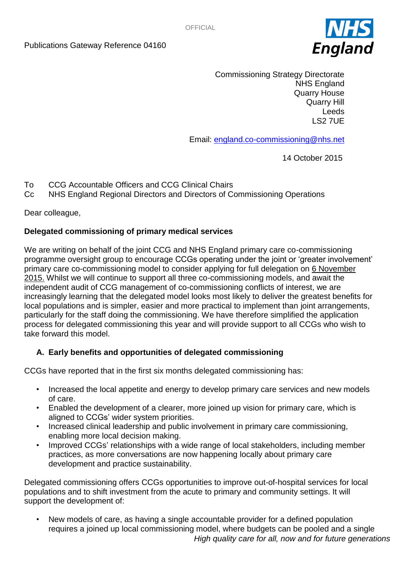

Commissioning Strategy Directorate NHS England Quarry House Quarry Hill Leeds LS2 7UE

Email: [england.co-commissioning@nhs.net](mailto:england.co-commissioning@nhs.net) 

14 October 2015

- To CCG Accountable Officers and CCG Clinical Chairs
- Cc NHS England Regional Directors and Directors of Commissioning Operations

Dear colleague,

## **Delegated commissioning of primary medical services**

We are writing on behalf of the joint CCG and NHS England primary care co-commissioning programme oversight group to encourage CCGs operating under the joint or 'greater involvement' primary care co-commissioning model to consider applying for full delegation on 6 November 2015. Whilst we will continue to support all three co-commissioning models, and await the independent audit of CCG management of co-commissioning conflicts of interest, we are increasingly learning that the delegated model looks most likely to deliver the greatest benefits for local populations and is simpler, easier and more practical to implement than joint arrangements, particularly for the staff doing the commissioning. We have therefore simplified the application process for delegated commissioning this year and will provide support to all CCGs who wish to take forward this model.

## **A. Early benefits and opportunities of delegated commissioning**

CCGs have reported that in the first six months delegated commissioning has:

- Increased the local appetite and energy to develop primary care services and new models of care.
- Enabled the development of a clearer, more joined up vision for primary care, which is aligned to CCGs' wider system priorities.
- Increased clinical leadership and public involvement in primary care commissioning, enabling more local decision making.
- Improved CCGs' relationships with a wide range of local stakeholders, including member practices, as more conversations are now happening locally about primary care development and practice sustainability.

Delegated commissioning offers CCGs opportunities to improve out-of-hospital services for local populations and to shift investment from the acute to primary and community settings. It will support the development of:

*High quality care for all, now and for future generations* • New models of care, as having a single accountable provider for a defined population requires a joined up local commissioning model, where budgets can be pooled and a single